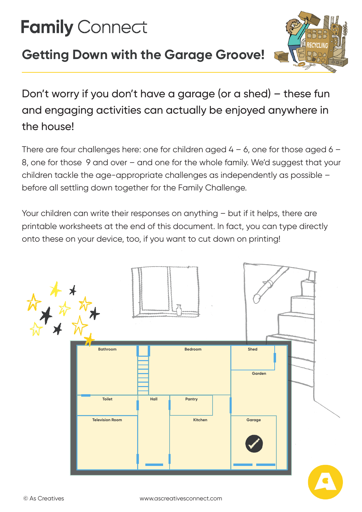# **Family Connect**

# **Getting Down with the Garage Groove!**



Don't worry if you don't have a garage (or a shed) – these fun and engaging activities can actually be enjoyed anywhere in the house!

There are four challenges here: one for children aged  $4 - 6$ , one for those aged  $6 - 6$ 8, one for those 9 and over – and one for the whole family. We'd suggest that your children tackle the age-appropriate challenges as independently as possible – before all settling down together for the Family Challenge.

Your children can write their responses on anything – but if it helps, there are printable worksheets at the end of this document. In fact, you can type directly onto these on your device, too, if you want to cut down on printing!

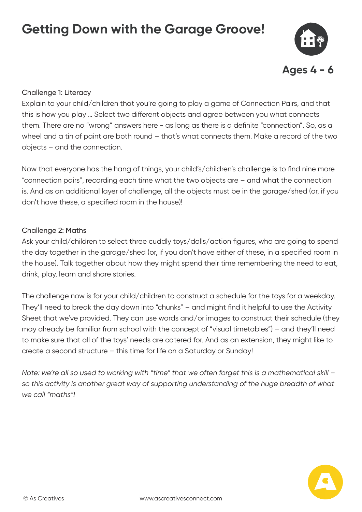

#### Challenge 1: Literacy

Explain to your child/children that you're going to play a game of Connection Pairs, and that this is how you play … Select two different objects and agree between you what connects them. There are no "wrong" answers here - as long as there is a definite "connection". So, as a wheel and a tin of paint are both round – that's what connects them. Make a record of the two objects – and the connection.

Now that everyone has the hang of things, your child's/children's challenge is to find nine more "connection pairs", recording each time what the two objects are – and what the connection is. And as an additional layer of challenge, all the objects must be in the garage/shed (or, if you don't have these, a specified room in the house)!

#### Challenge 2: Maths

Ask your child/children to select three cuddly toys/dolls/action figures, who are going to spend the day together in the garage/shed (or, if you don't have either of these, in a specified room in the house). Talk together about how they might spend their time remembering the need to eat, drink, play, learn and share stories.

The challenge now is for your child/children to construct a schedule for the toys for a weekday. They'll need to break the day down into "chunks" – and might find it helpful to use the Activity Sheet that we've provided. They can use words and/or images to construct their schedule (they may already be familiar from school with the concept of "visual timetables") – and they'll need to make sure that all of the toys' needs are catered for. And as an extension, they might like to create a second structure – this time for life on a Saturday or Sunday!

*Note: we're all so used to working with "time" that we often forget this is a mathematical skill – so this activity is another great way of supporting understanding of the huge breadth of what we call "maths"!*

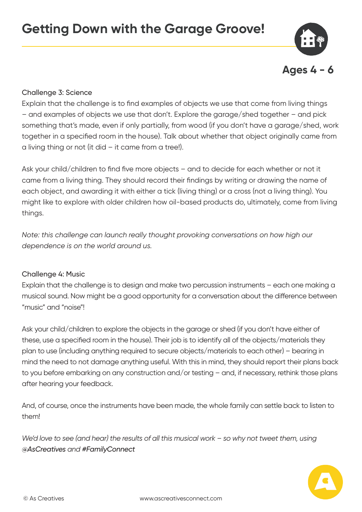

# Challenge 3: Science

Explain that the challenge is to find examples of objects we use that come from living things – and examples of objects we use that don't. Explore the garage/shed together – and pick something that's made, even if only partially, from wood (if you don't have a garage/shed, work together in a specified room in the house). Talk about whether that object originally came from a living thing or not (it did  $-$  it came from a tree!).

Ask your child/children to find five more objects – and to decide for each whether or not it came from a living thing. They should record their findings by writing or drawing the name of each object, and awarding it with either a tick (living thing) or a cross (not a living thing). You might like to explore with older children how oil-based products do, ultimately, come from living things.

*Note: this challenge can launch really thought provoking conversations on how high our dependence is on the world around us.* 

# Challenge 4: Music

Explain that the challenge is to design and make two percussion instruments – each one making a musical sound. Now might be a good opportunity for a conversation about the difference between "music" and "noise"!

Ask your child/children to explore the objects in the garage or shed (if you don't have either of these, use a specified room in the house). Their job is to identify all of the objects/materials they plan to use (including anything required to secure objects/materials to each other) – bearing in mind the need to not damage anything useful. With this in mind, they should report their plans back to you before embarking on any construction and/or testing – and, if necessary, rethink those plans after hearing your feedback.

And, of course, once the instruments have been made, the whole family can settle back to listen to them!

*We'd love to see (and hear) the results of all this musical work – so why not tweet them, using @AsCreatives and #FamilyConnect*

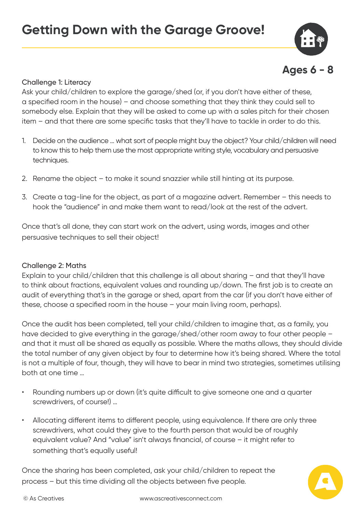



## Challenge 1: Literacy

Ask your child/children to explore the garage/shed (or, if you don't have either of these, a specified room in the house) – and choose something that they think they could sell to somebody else. Explain that they will be asked to come up with a sales pitch for their chosen item – and that there are some specific tasks that they'll have to tackle in order to do this.

- 1. Decide on the audience … what sort of people might buy the object? Your child/children will need to know this to help them use the most appropriate writing style, vocabulary and persuasive techniques.
- 2. Rename the object to make it sound snazzier while still hinting at its purpose.
- 3. Create a tag-line for the object, as part of a magazine advert. Remember this needs to hook the "audience" in and make them want to read/look at the rest of the advert.

Once that's all done, they can start work on the advert, using words, images and other persuasive techniques to sell their object!

#### Challenge 2: Maths

Explain to your child/children that this challenge is all about sharing – and that they'll have to think about fractions, equivalent values and rounding up/down. The first job is to create an audit of everything that's in the garage or shed, apart from the car (if you don't have either of these, choose a specified room in the house – your main living room, perhaps).

Once the audit has been completed, tell your child/children to imagine that, as a family, you have decided to give everything in the garage/shed/other room away to four other people – and that it must all be shared as equally as possible. Where the maths allows, they should divide the total number of any given object by four to determine how it's being shared. Where the total is not a multiple of four, though, they will have to bear in mind two strategies, sometimes utilising both at one time …

- Rounding numbers up or down (it's quite difficult to give someone one and a quarter screwdrivers, of course!) …
- Allocating different items to different people, using equivalence. If there are only three screwdrivers, what could they give to the fourth person that would be of roughly equivalent value? And "value" isn't always financial, of course – it might refer to something that's equally useful!

Once the sharing has been completed, ask your child/children to repeat the process – but this time dividing all the objects between five people.

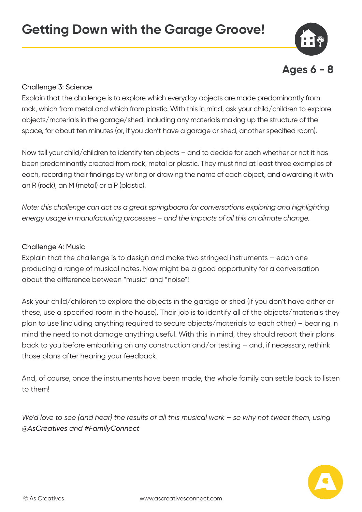

#### Challenge 3: Science

Explain that the challenge is to explore which everyday objects are made predominantly from rock, which from metal and which from plastic. With this in mind, ask your child/children to explore objects/materials in the garage/shed, including any materials making up the structure of the space, for about ten minutes (or, if you don't have a garage or shed, another specified room).

Now tell your child/children to identify ten objects – and to decide for each whether or not it has been predominantly created from rock, metal or plastic. They must find at least three examples of each, recording their findings by writing or drawing the name of each object, and awarding it with an R (rock), an M (metal) or a P (plastic).

*Note: this challenge can act as a great springboard for conversations exploring and highlighting energy usage in manufacturing processes – and the impacts of all this on climate change.*

#### Challenge 4: Music

Explain that the challenge is to design and make two stringed instruments – each one producing a range of musical notes. Now might be a good opportunity for a conversation about the difference between "music" and "noise"!

Ask your child/children to explore the objects in the garage or shed (if you don't have either or these, use a specified room in the house). Their job is to identify all of the objects/materials they plan to use (including anything required to secure objects/materials to each other) – bearing in mind the need to not damage anything useful. With this in mind, they should report their plans back to you before embarking on any construction and/or testing – and, if necessary, rethink those plans after hearing your feedback.

And, of course, once the instruments have been made, the whole family can settle back to listen to them!

*We'd love to see (and hear) the results of all this musical work – so why not tweet them, using @AsCreatives and #FamilyConnect*

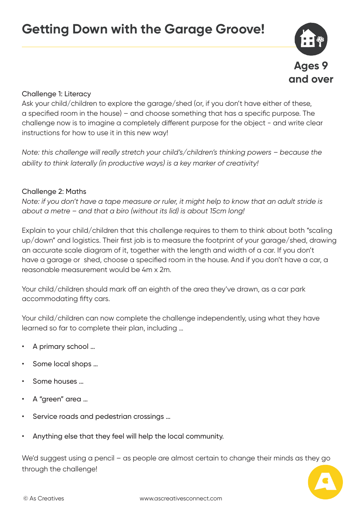

#### Challenge 1: Literacy

Ask your child/children to explore the garage/shed (or, if you don't have either of these, a specified room in the house) – and choose something that has a specific purpose. The challenge now is to imagine a completely different purpose for the object - and write clear instructions for how to use it in this new way!

*Note: this challenge will really stretch your child's/children's thinking powers – because the ability to think laterally (in productive ways) is a key marker of creativity!*

#### Challenge 2: Maths

*Note: if you don't have a tape measure or ruler, it might help to know that an adult stride is about a metre – and that a biro (without its lid) is about 15cm long!*

Explain to your child/children that this challenge requires to them to think about both "scaling up/down" and logistics. Their first job is to measure the footprint of your garage/shed, drawing an accurate scale diagram of it, together with the length and width of a car. If you don't have a garage or shed, choose a specified room in the house. And if you don't have a car, a reasonable measurement would be 4m x 2m.

Your child/children should mark off an eighth of the area they've drawn, as a car park accommodating fifty cars.

Your child/children can now complete the challenge independently, using what they have learned so far to complete their plan, including …

- A primary school …
- Some local shops ...
- Some houses …
- A "green" area …
- Service roads and pedestrian crossings ...
- Anything else that they feel will help the local community.

We'd suggest using a pencil – as people are almost certain to change their minds as they go through the challenge!

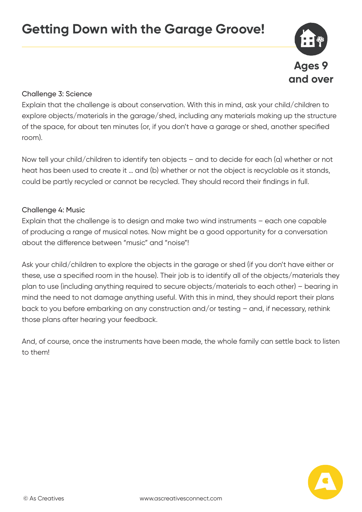

#### Challenge 3: Science

Explain that the challenge is about conservation. With this in mind, ask your child/children to explore objects/materials in the garage/shed, including any materials making up the structure of the space, for about ten minutes (or, if you don't have a garage or shed, another specified room).

Now tell your child/children to identify ten objects – and to decide for each (a) whether or not heat has been used to create it … and (b) whether or not the object is recyclable as it stands, could be partly recycled or cannot be recycled. They should record their findings in full.

#### Challenge 4: Music

Explain that the challenge is to design and make two wind instruments – each one capable of producing a range of musical notes. Now might be a good opportunity for a conversation about the difference between "music" and "noise"!

Ask your child/children to explore the objects in the garage or shed (if you don't have either or these, use a specified room in the house). Their job is to identify all of the objects/materials they plan to use (including anything required to secure objects/materials to each other) – bearing in mind the need to not damage anything useful. With this in mind, they should report their plans back to you before embarking on any construction and/or testing – and, if necessary, rethink those plans after hearing your feedback.

And, of course, once the instruments have been made, the whole family can settle back to listen to them!

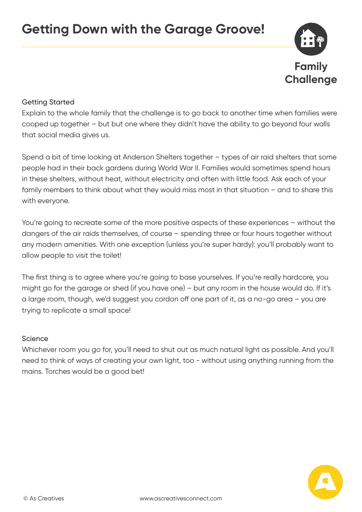

## Getting Started

Explain to the whole family that the challenge is to go back to another time when families were cooped up together – but but one where they didn't have the ability to go beyond four walls that social media gives us.

Spend a bit of time looking at Anderson Shelters together – types of air raid shelters that some people had in their back gardens during World War II. Families would sometimes spend hours in these shelters, without heat, without electricity and often with little food. Ask each of your family members to think about what they would miss most in that situation – and to share this with everyone.

You're going to recreate some of the more positive aspects of these experiences – without the dangers of the air raids themselves, of course – spending three or four hours together without any modern amenities. With one exception (unless you're super hardy): you'll probably want to allow people to visit the toilet!

The first thing is to agree where you're going to base yourselves. If you're really hardcore, you might go for the garage or shed (if you have one) – but any room in the house would do. If it's a large room, though, we'd suggest you cordon off one part of it, as a no-go area – you are trying to replicate a small space!

#### Science

Whichever room you go for, you'll need to shut out as much natural light as possible. And you'll need to think of ways of creating your own light, too - without using anything running from the mains. Torches would be a good bet!

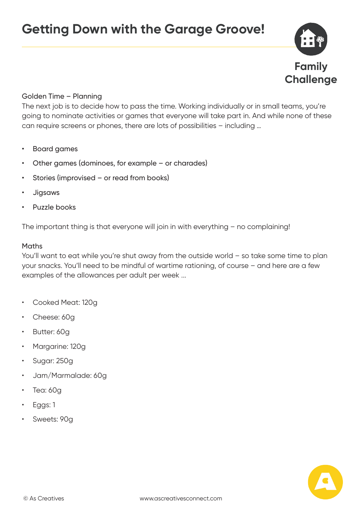

#### Golden Time – Planning

The next job is to decide how to pass the time. Working individually or in small teams, you're going to nominate activities or games that everyone will take part in. And while none of these can require screens or phones, there are lots of possibilities – including …

- Board games
- Other games (dominoes, for example or charades)
- Stories (improvised or read from books)
- Jigsaws
- Puzzle books

The important thing is that everyone will join in with everything – no complaining!

#### Maths

You'll want to eat while you're shut away from the outside world – so take some time to plan your snacks. You'll need to be mindful of wartime rationing, of course – and here are a few examples of the allowances per adult per week ...

- Cooked Meat: 120g
- Cheese: 60g
- Butter: 60g
- Margarine: 120g
- Sugar: 250g
- Jam/Marmalade: 60g
- Tea: 60g
- Eggs: 1
- Sweets: 90g